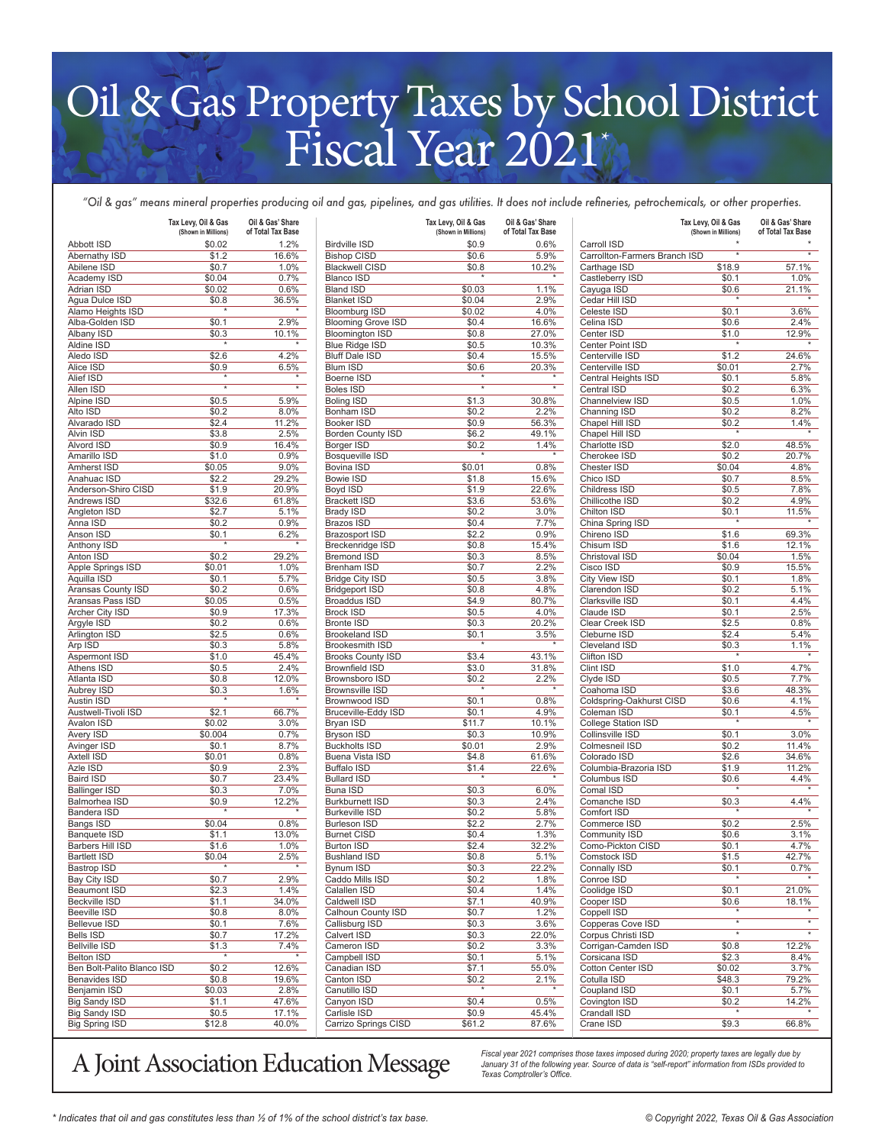## Oil & Gas Property Taxes by School District Fiscal Year 2021

*"Oil & gas" means mineral properties producing oil and gas, pipelines, and gas utilities. It does not include refineries, petrochemicals, or other properties.*

|                                              | Tax Levy, Oil & Gas<br>(Shown in Millions) | Oil & Gas' Share<br>of Total Tax Base |                                          | Tax Levy, Oil & Gas<br>(Shown in Millions) | Oil & Gas' Share<br>of Total Tax Base |                                    | Tax Levy, Oil & Gas<br>(Shown in Millions) | Oil & Gas' Share<br>of Total Tax Base |
|----------------------------------------------|--------------------------------------------|---------------------------------------|------------------------------------------|--------------------------------------------|---------------------------------------|------------------------------------|--------------------------------------------|---------------------------------------|
| <b>Abbott ISD</b>                            | \$0.02                                     | 1.2%                                  | <b>Birdville ISD</b>                     | \$0.9                                      | 0.6%                                  | Carroll ISD                        |                                            |                                       |
| Abernathy ISD                                | \$1.2                                      | 16.6%                                 | <b>Bishop CISD</b>                       | \$0.6                                      | 5.9%                                  | Carrollton-Farmers Branch ISD      | $\star$                                    | $^\star$                              |
| Abilene ISD                                  | \$0.7                                      | 1.0%                                  | <b>Blackwell CISD</b>                    | \$0.8                                      | 10.2%<br>$\star$                      | Carthage ISD                       | \$18.9                                     | 57.1%                                 |
| Academy ISD<br>Adrian ISD                    | \$0.04<br>\$0.02                           | 0.7%<br>0.6%                          | <b>Blanco ISD</b><br><b>Bland ISD</b>    | \$0.03                                     | 1.1%                                  | Castleberry ISD<br>Cayuga ISD      | \$0.1<br>\$0.6                             | 1.0%                                  |
| Aqua Dulce ISD                               | \$0.8                                      | 36.5%                                 | <b>Blanket ISD</b>                       | \$0.04                                     | 2.9%                                  | Cedar Hill ISD                     |                                            | 21.1%                                 |
| Alamo Heights ISD                            | $\star$                                    | $\star$                               | <b>Bloomburg ISD</b>                     | \$0.02                                     | 4.0%                                  | Celeste ISD                        | \$0.1                                      | 3.6%                                  |
| Alba-Golden ISD                              | \$0.1                                      | 2.9%                                  | <b>Blooming Grove ISD</b>                | \$0.4                                      | 16.6%                                 | Celina ISD                         | \$0.6                                      | 2.4%                                  |
| Albany ISD                                   | \$0.3                                      | 10.1%                                 | <b>Bloomington ISD</b>                   | \$0.8                                      | 27.0%                                 | Center ISD                         | \$1.0                                      | 12.9%                                 |
| Aldine ISD                                   |                                            |                                       | <b>Blue Ridge ISD</b>                    | \$0.5                                      | 10.3%                                 | Center Point ISD                   |                                            |                                       |
| Aledo ISD                                    | \$2.6                                      | 4.2%                                  | <b>Bluff Dale ISD</b>                    | \$0.4                                      | 15.5%                                 | Centerville ISD                    | \$1.2                                      | 24.6%                                 |
| Alice ISD                                    | \$0.9                                      | 6.5%                                  | <b>Blum ISD</b>                          | \$0.6                                      | 20.3%                                 | Centerville ISD                    | \$0.01                                     | 2.7%                                  |
| Alief ISD                                    |                                            |                                       | Boerne ISD                               |                                            | $_{\star}$                            | Central Heights ISD                | \$0.1                                      | 5.8%                                  |
| Allen ISD                                    |                                            | $^\star$                              | <b>Boles ISD</b>                         | $\star$                                    |                                       | Central ISD                        | \$0.2                                      | 6.3%                                  |
| Alpine ISD<br>Alto ISD                       | \$0.5<br>\$0.2                             | 5.9%<br>8.0%                          | <b>Boling ISD</b><br>Bonham ISD          | \$1.3<br>\$0.2                             | 30.8%<br>2.2%                         | Channelview ISD<br>Channing ISD    | \$0.5<br>\$0.2                             | 1.0%<br>8.2%                          |
| Alvarado ISD                                 | \$2.4                                      | 11.2%                                 | <b>Booker ISD</b>                        | \$0.9                                      | 56.3%                                 | Chapel Hill ISD                    | \$0.2                                      | 1.4%                                  |
| Alvin ISD                                    | \$3.8                                      | 2.5%                                  | <b>Borden County ISD</b>                 | \$6.2                                      | 49.1%                                 | Chapel Hill ISD                    |                                            |                                       |
| Alvord ISD                                   | \$0.9                                      | 16.4%                                 | Borger ISD                               | \$0.2                                      | 1.4%                                  | Charlotte ISD                      | \$2.0                                      | 48.5%                                 |
| Amarillo ISD                                 | \$1.0                                      | 0.9%                                  | Bosqueville ISD                          |                                            | $\star$                               | Cherokee ISD                       | \$0.2                                      | 20.7%                                 |
| Amherst ISD                                  | \$0.05                                     | 9.0%                                  | Bovina ISD                               | \$0.01                                     | 0.8%                                  | Chester ISD                        | \$0.04                                     | 4.8%                                  |
| Anahuac ISD                                  | \$2.2                                      | 29.2%                                 | Bowie ISD                                | \$1.8                                      | 15.6%                                 | Chico ISD                          | \$0.7                                      | 8.5%                                  |
| Anderson-Shiro CISD                          | \$1.9                                      | 20.9%                                 | Boyd ISD                                 | \$1.9                                      | 22.6%                                 | Childress ISD                      | \$0.5                                      | 7.8%                                  |
| Andrews ISD                                  | \$32.6                                     | 61.8%                                 | <b>Brackett ISD</b>                      | \$3.6                                      | 53.6%                                 | Chillicothe ISD                    | \$0.2                                      | 4.9%                                  |
| Angleton ISD                                 | \$2.7                                      | 5.1%                                  | <b>Brady ISD</b>                         | \$0.2                                      | 3.0%                                  | Chilton ISD                        | \$0.1                                      | 11.5%                                 |
| Anna ISD                                     | \$0.2                                      | 0.9%                                  | <b>Brazos ISD</b>                        | \$0.4                                      | 7.7%                                  | China Spring ISD                   | $\star$                                    |                                       |
| Anson ISD                                    | \$0.1<br>$\star$                           | 6.2%<br>$\star$                       | <b>Brazosport ISD</b>                    | \$2.2                                      | 0.9%                                  | Chireno ISD                        | \$1.6                                      | 69.3%                                 |
| Anthony ISD                                  |                                            |                                       | Breckenridge ISD                         | \$0.8                                      | 15.4%                                 | Chisum ISD                         | \$1.6                                      | 12.1%                                 |
| Anton ISD<br>Apple Springs ISD               | \$0.2<br>\$0.01                            | 29.2%<br>1.0%                         | <b>Bremond ISD</b><br>Brenham ISD        | \$0.3<br>\$0.7                             | 8.5%<br>2.2%                          | Christoval ISD<br>Cisco ISD        | \$0.04<br>\$0.9                            | 1.5%<br>15.5%                         |
| Aquilla ISD                                  | \$0.1                                      | 5.7%                                  | <b>Bridge City ISD</b>                   | \$0.5                                      | 3.8%                                  | City View ISD                      | \$0.1                                      | 1.8%                                  |
| Aransas County ISD                           | \$0.2                                      | 0.6%                                  | <b>Bridgeport ISD</b>                    | \$0.8                                      | 4.8%                                  | Clarendon ISD                      | \$0.2                                      | 5.1%                                  |
| Aransas Pass ISD                             | \$0.05                                     | 0.5%                                  | <b>Broaddus ISD</b>                      | \$4.9                                      | 80.7%                                 | Clarksville ISD                    | \$0.1                                      | 4.4%                                  |
| Archer City ISD                              | \$0.9                                      | 17.3%                                 | <b>Brock ISD</b>                         | \$0.5                                      | 4.0%                                  | Claude ISD                         | \$0.1                                      | 2.5%                                  |
| Argyle ISD                                   | \$0.2                                      | 0.6%                                  | <b>Bronte ISD</b>                        | \$0.3                                      | 20.2%                                 | Clear Creek ISD                    | \$2.5                                      | 0.8%                                  |
| Arlington ISD                                | \$2.5                                      | 0.6%                                  | <b>Brookeland ISD</b>                    | \$0.1                                      | 3.5%                                  | Cleburne ISD                       | \$2.4                                      | 5.4%                                  |
| Arp ISD                                      | \$0.3                                      | 5.8%                                  | <b>Brookesmith ISD</b>                   | $\star$                                    | $\star$                               | Cleveland ISD                      | \$0.3                                      | 1.1%                                  |
| Aspermont ISD                                | \$1.0                                      | 45.4%                                 | <b>Brooks County ISD</b>                 | \$3.4                                      | 43.1%                                 | Clifton ISD                        |                                            |                                       |
| Athens ISD                                   | \$0.5                                      | 2.4%                                  | <b>Brownfield ISD</b>                    | \$3.0                                      | 31.8%                                 | Clint ISD                          | \$1.0                                      | 4.7%                                  |
| Atlanta ISD                                  | \$0.8                                      | 12.0%                                 | Brownsboro ISD                           | \$0.2                                      | 2.2%                                  | Clyde ISD                          | \$0.5                                      | 7.7%                                  |
| Aubrey ISD                                   | \$0.3                                      | 1.6%<br>$\star$                       | <b>Brownsville ISD</b>                   |                                            |                                       | Coahoma ISD                        | \$3.6                                      | 48.3%                                 |
| Austin ISD                                   |                                            |                                       | Brownwood ISD                            | \$0.1                                      | 0.8%                                  | Coldspring-Oakhurst CISD           | \$0.6                                      | 4.1%                                  |
| Austwell-Tivoli ISD<br>Avalon ISD            | \$2.1<br>\$0.02                            | 66.7%<br>3.0%                         | Bruceville-Eddy ISD<br>Bryan ISD         | \$0.1<br>\$11.7                            | 4.9%<br>10.1%                         | Coleman ISD<br>College Station ISD | \$0.1                                      | 4.5%                                  |
| Avery ISD                                    | \$0.004                                    | 0.7%                                  | <b>Bryson ISD</b>                        | \$0.3                                      | 10.9%                                 | Collinsville ISD                   | \$0.1                                      | 3.0%                                  |
| Avinger ISD                                  | \$0.1                                      | 8.7%                                  | <b>Buckholts ISD</b>                     | \$0.01                                     | 2.9%                                  | Colmesneil ISD                     | \$0.2                                      | 11.4%                                 |
| <b>Axtell ISD</b>                            | \$0.01                                     | 0.8%                                  | Buena Vista ISD                          | \$4.8                                      | 61.6%                                 | Colorado ISD                       | \$2.6                                      | 34.6%                                 |
| Azle ISD                                     | \$0.9                                      | 2.3%                                  | <b>Buffalo ISD</b>                       | \$1.4                                      | 22.6%                                 | Columbia-Brazoria ISD              | \$1.9                                      | 11.2%                                 |
| <b>Baird ISD</b>                             | \$0.7                                      | 23.4%                                 | <b>Bullard ISD</b>                       |                                            | $\star$                               | Columbus ISD                       | \$0.6                                      | 4.4%                                  |
| <b>Ballinger ISD</b>                         | \$0.3                                      | 7.0%                                  | Buna ISD                                 | \$0.3                                      | 6.0%                                  | Comal ISD                          | $\star$                                    |                                       |
| Balmorhea ISD                                | \$0.9                                      | 12.2%                                 | <b>Burkburnett ISD</b>                   | \$0.3                                      | 2.4%                                  | Comanche ISD                       | \$0.3                                      | 4.4%                                  |
| Bandera ISD                                  |                                            |                                       | <b>Burkeville ISD</b>                    | \$0.2                                      | 5.8%                                  | Comfort ISD                        |                                            |                                       |
| Bangs ISD                                    | \$0.04                                     | 0.8%                                  | <b>Burleson ISD</b>                      | \$2.2                                      | 2.7%                                  | Commerce ISD                       | \$0.2                                      | 2.5%                                  |
| Banquete ISD                                 | \$1.1                                      | 13.0%                                 | <b>Burnet CISD</b>                       | \$0.4                                      | 1.3%                                  | <b>Community ISD</b>               | \$0.6                                      | 3.1%                                  |
| Barbers Hill ISD                             | \$1.6<br>\$0.04                            | 1.0%<br>2.5%                          | <b>Burton ISD</b><br><b>Bushland ISD</b> | \$2.4<br>\$0.8                             | 32.2%                                 | Como-Pickton CISD<br>Comstock ISD  | \$0.1                                      | 4.7%<br>42.7%                         |
| <b>Bartlett ISD</b><br><b>Bastrop ISD</b>    | $\overline{\ast}$                          | $\star$                               | Bynum ISD                                | \$0.3                                      | 5.1%<br>22.2%                         | Connally ISD                       | \$1.5<br>\$0.1                             | 0.7%                                  |
| Bay City ISD                                 | \$0.7                                      | 2.9%                                  | Caddo Mills ISD                          | \$0.2                                      | 1.8%                                  | Conroe ISD                         |                                            |                                       |
| Beaumont ISD                                 | \$2.3                                      | 1.4%                                  | Calallen ISD                             | \$0.4                                      | 1.4%                                  | Coolidge ISD                       | \$0.1                                      | 21.0%                                 |
| Beckville ISD                                | \$1.1                                      | 34.0%                                 | Caldwell ISD                             | \$7.1                                      | 40.9%                                 | Cooper ISD                         | \$0.6                                      | 18.1%                                 |
| Beeville ISD                                 | \$0.8                                      | $8.0\%$                               | Calhoun County ISD                       | \$0.7                                      | 1.2%                                  | Coppell ISD                        |                                            |                                       |
| Bellevue ISD                                 | \$0.1                                      | 7.6%                                  | Callisburg ISD                           | \$0.3                                      | 3.6%                                  | Copperas Cove ISD                  | $\star$                                    | $\star$                               |
| <b>Bells ISD</b>                             | \$0.7                                      | 17.2%                                 | Calvert ISD                              | \$0.3                                      | 22.0%                                 | Corpus Christi ISD                 |                                            |                                       |
| <b>Bellville ISD</b>                         | \$1.3                                      | 7.4%                                  | Cameron ISD                              | \$0.2                                      | 3.3%                                  | Corrigan-Camden ISD                | \$0.8                                      | 12.2%                                 |
| <b>Belton ISD</b>                            | $\star$                                    | $\star$                               | Campbell ISD                             | \$0.1                                      | 5.1%                                  | Corsicana ISD                      | \$2.3                                      | 8.4%                                  |
| Ben Bolt-Palito Blanco ISD                   | \$0.2                                      | 12.6%                                 | Canadian ISD                             | \$7.1                                      | 55.0%                                 | Cotton Center ISD                  | \$0.02                                     | $3.7\%$                               |
| Benavides ISD                                | \$0.8                                      | 19.6%                                 | Canton ISD                               | \$0.2<br>$^\star$                          | 2.1%<br>$\star$                       | Cotulla ISD                        | \$48.3                                     | 79.2%                                 |
| Benjamin ISD                                 | \$0.03                                     | 2.8%                                  | Canutillo ISD                            |                                            |                                       | Coupland ISD                       | \$0.1                                      | 5.7%                                  |
| <b>Big Sandy ISD</b><br><b>Big Sandy ISD</b> | \$1.1<br>\$0.5                             | 47.6%<br>17.1%                        | Canyon ISD<br>Carlisle ISD               | \$0.4<br>\$0.9                             | 0.5%<br>45.4%                         | Covington ISD<br>Crandall ISD      | \$0.2                                      | 14.2%                                 |
| Big Spring ISD                               | \$12.8                                     | 40.0%                                 | Carrizo Springs CISD                     | \$61.2                                     | 87.6%                                 | Crane ISD                          | \$9.3                                      | 66.8%                                 |
|                                              |                                            |                                       |                                          |                                            |                                       |                                    |                                            |                                       |

Fiscal year 2021 comprises those taxes imposed during 2020; property taxes are legally due by  $\widetilde{A}$  Joint Association Education  $\widetilde{B}$  anuary 31 of the following year. Source of data is "self-report" information fro

*January 31 of the following year. Source of data is "self-report" information from ISDs provided to Texas Comptroller's Office.*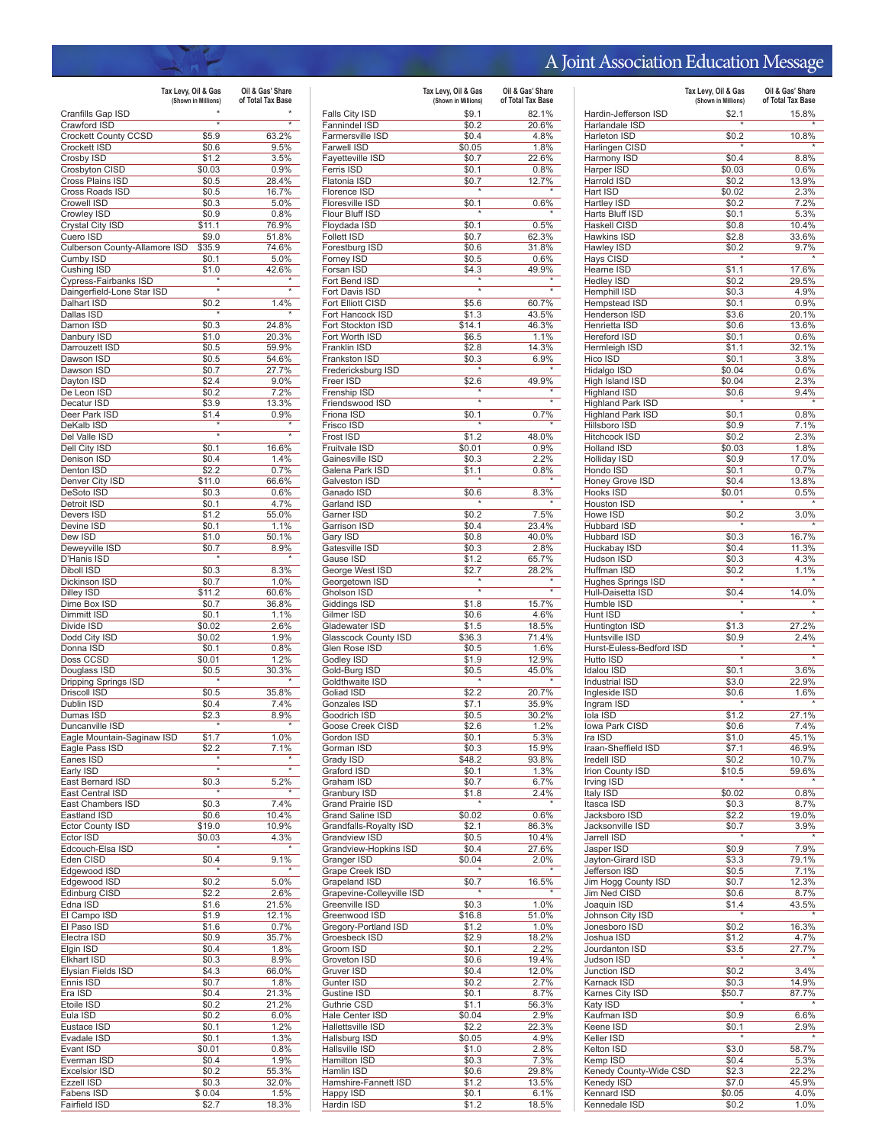## A Joint Association Education Message

|                                      | Tax Levy, Oil & Gas | Oil & Gas' Share  |
|--------------------------------------|---------------------|-------------------|
|                                      | (Shown in Millions) | of Total Tax Base |
| Cranfills Gap ISD<br>Crawford ISD    | $\overline{\ast}$   | ₹                 |
| Crockett County CCSD                 | \$5.9               | 63.2%             |
| Crockett ISD                         | \$0.6               | 9.5%              |
| Crosby ISD                           | \$1.2               | 3.5%              |
| Crosbyton CISD                       | \$0.03              | 0.9%              |
| Cross Plains ISD<br>Cross Roads ISD  | \$0.5<br>\$0.5      | 28.4%<br>16.7%    |
| Crowell ISD                          | \$0.3               | 5.0%              |
| Crowley ISD                          | \$0.9               | 0.8%              |
| Crystal City ISD                     | \$11.1              | 76.9%             |
| Cuero ISD                            | \$9.0               | 51.8%             |
| Culberson County-Allamore ISD        | \$35.9              | 74.6%             |
| Cumby ISD<br>Cushing ISD             | \$0.1<br>\$1.0      | 5.0%<br>42.6%     |
| Cypress-Fairbanks ISD                |                     |                   |
| Daingerfield-Lone Star ISD           | $\overline{\ast}$   |                   |
| Dalhart ISD                          | \$0.2               | 1.4%              |
| Dallas ISD                           |                     |                   |
| Damon ISD<br>Danbury ISD             | \$0.3               | 24.8%<br>20.3%    |
| Darrouzett ISD                       | \$1.0<br>\$0.5      | 59.9%             |
| Dawson ISD                           | \$0.5               | 54.6%             |
| Dawson ISD                           | \$0.7               | 27.7%             |
| Dayton ISD                           | \$2.4               | $9.0\%$           |
| De Leon ISD                          | \$0.2               | 7.2%              |
| Decatur ISD<br>Deer Park ISD         | \$3.9<br>\$1.4      | 13.3%<br>0.9%     |
| DeKalb ISD                           |                     |                   |
| Del Valle ISD                        | $\overline{\ast}$   | $\overline{\ast}$ |
| Dell City ISD                        | \$0.1               | 16.6%             |
| Denison ISD                          | \$0.4               | 1.4%              |
| Denton ISD                           | \$2.2               | 0.7%<br>66.6%     |
| Denver City ISD<br>DeSoto ISD        | \$11.0<br>\$0.3     | 0.6%              |
| Detroit ISD                          | \$0.1               | 4.7%              |
| Devers ISD                           | \$1.2               | 55.0%             |
| Devine ISD                           | \$0.1               | 1.1%              |
| Dew ISD                              | \$1.0               | 50.1%             |
| Deweyville ISD                       | \$0.7               | 8.9%              |
| D'Hanis ISD<br>Diboll ISD            | \$0.3               | 8.3%              |
| Dickinson ISD                        | \$0.7               | 1.0%              |
| Dilley ISD                           | \$11.2              | 60.6%             |
| Dime Box ISD                         | \$0.7               | 36.8%             |
| Dimmitt ISD                          | \$0.1               | 1.1%              |
| Divide ISD                           | \$0.02              | 2.6%<br>1.9%      |
| Dodd City ISD<br>Donna ISD           | \$0.02<br>\$0.1     | 0.8%              |
| Doss CCSD                            | \$0.01              | 1.2%              |
| Douglass ISD                         | \$0.5               | 30.3%             |
| Dripping Springs ISD                 |                     |                   |
| Driscoll ISD                         | \$0.5               | 35.8%             |
| Dublin ISD<br>Dumas ISD              | \$0.4<br>\$2.3      | 7.4%<br>8.9%      |
| Duncanville ISD                      |                     |                   |
| Eagle Mountain-Saginaw ISD           | \$1.7               | 1.0%              |
| Eagle Pass ISD                       | \$2.2               | 7.1%              |
| Eanes ISD                            |                     |                   |
| Early ISD                            | $\overline{\ast}$   | *                 |
| East Bernard ISD<br>East Central ISD | \$0.3               | 5.2%              |
| East Chambers ISD                    | \$0.3               | 7.4%              |
| Eastland ISD                         | \$0.6               | 10.4%             |
| <b>Ector County ISD</b>              | \$19.0              | 10.9%             |
| Ector ISD                            | \$0.03              | 4.3%              |
| Edcouch-Elsa ISD                     |                     |                   |
| Eden CISD<br>Edgewood ISD            | \$0.4<br>$\star$    | 9.1%              |
| Edgewood ISD                         | \$0.2               | 5.0%              |
| Edinburg CISD                        | \$2.2               | 2.6%              |
| Edna ISD                             | \$1.6               | 21.5%             |
| El Campo ISD                         | \$1.9               | 12.1%             |
| El Paso ISD                          | \$1.6               | 0.7%              |
| Electra ISD<br>Elgin ISD             | \$0.9<br>\$0.4      | 35.7%<br>1.8%     |
| <b>Elkhart ISD</b>                   | \$0.3               | 8.9%              |
| Elysian Fields ISD                   | \$4.3               | 66.0%             |
| Ennis ISD                            | \$0.7               | 1.8%              |
| Era ISD                              | \$0.4               | 21.3%             |
| Etoile ISD                           | \$0.2               | 21.2%             |
| Eula ISD<br>Eustace ISD              | \$0.2<br>\$0.1      | 6.0%<br>1.2%      |
| Evadale ISD                          | \$0.1               | 1.3%              |
| Evant ISD                            | \$0.01              | 0.8%              |
| Everman ISD                          | \$0.4               | 1.9%              |
| <b>Excelsior ISD</b>                 | \$0.2               | 55.3%             |
| <b>Ezzell ISD</b>                    | \$0.3               | 32.0%             |
| Fabens ISD<br>Fairfield ISD          | \$0.04<br>\$2.7     | 1.5%<br>18.3%     |
|                                      |                     |                   |

|                                       | Tax Levy, Oil & Gas<br>(Shown in Millions) | Oil & Gas' Share<br>of Total Tax Base |
|---------------------------------------|--------------------------------------------|---------------------------------------|
| Falls City ISD                        | \$9.1                                      | 82.1%                                 |
| Fannindel ISD                         | \$0.2                                      | 20.6%                                 |
| Farmersville ISD                      | \$0.4                                      | 4.8%                                  |
| Farwell ISD                           | \$0.05                                     | 1.8%                                  |
| Fayetteville ISD                      | \$0.7                                      | 22.6%                                 |
| Ferris ISD                            | \$0.1                                      | 0.8%                                  |
| Flatonia ISD                          | \$0.7                                      | 12.7%                                 |
| Florence ISD                          |                                            |                                       |
| Floresville ISD                       | \$0.1                                      | 0.6%                                  |
| Flour Bluff ISD                       |                                            |                                       |
| Floydada ISD                          | \$0.1                                      | 0.5%                                  |
| <b>Follett ISD</b>                    | \$0.7                                      | 62.3%                                 |
| Forestburg ISD                        | \$0.6                                      | 31.8%                                 |
| Forney ISD                            | \$0.5                                      | 0.6%                                  |
| Forsan ISD                            | \$4.3                                      | 49.9%                                 |
| Fort Bend ISD                         |                                            |                                       |
| Fort Davis ISD                        | $\overline{\ast}$                          | $\overline{\ast}$                     |
| Fort Elliott CISD                     | \$5.6                                      | 60.7%                                 |
| Fort Hancock ISD                      | \$1.3                                      | 43.5%                                 |
| Fort Stockton ISD                     | \$14.1                                     | 46.3%                                 |
| Fort Worth ISD                        | \$6.5                                      | 1.1%                                  |
| Franklin ISD                          | \$2.8                                      | 14.3%                                 |
| Frankston ISD                         | \$0.3                                      | 6.9%                                  |
| Fredericksburg ISD                    |                                            |                                       |
| Freer ISD                             | \$2.6                                      | 49.9%                                 |
| Frenship ISD                          | 7                                          |                                       |
| Friendswood ISD                       |                                            |                                       |
| Friona ISD                            | \$0.1                                      | 0.7%                                  |
| Frisco ISD                            |                                            |                                       |
| Frost ISD                             | \$1.2                                      | 48.0%                                 |
| <b>Fruitvale ISD</b>                  | \$0.01                                     | 0.9%                                  |
| Gainesville ISD                       | \$0.3                                      | 2.2%                                  |
| Galena Park ISD                       | \$1.1                                      | 0.8%                                  |
| Galveston ISD                         |                                            |                                       |
| Ganado ISD                            | \$0.6                                      | 8.3%                                  |
| Garland ISD                           |                                            |                                       |
| Garner ISD                            | \$0.2                                      | 7.5%                                  |
| Garrison ISD                          | \$0.4                                      | 23.4%                                 |
| Gary ISD                              | \$0.8                                      | 40.0%                                 |
| Gatesville ISD                        | \$0.3                                      | 2.8%                                  |
| Gause ISD                             | \$1.2                                      | 65.7%                                 |
| George West ISD                       | \$2.7                                      | 28.2%                                 |
| Georgetown ISD                        | $\overline{\ast}$                          |                                       |
| Gholson ISD                           |                                            |                                       |
| Giddings ISD                          | \$1.8                                      | 15.7%                                 |
| Gilmer ISD<br>Gladewater ISD          | \$0.6                                      | 4.6%                                  |
|                                       | \$1.5                                      | 18.5%<br>71.4%                        |
| Glasscock County ISD<br>Glen Rose ISD | \$36.3<br>\$0.5                            | 1.6%                                  |
| Godley ISD                            | \$1.9                                      | 12.9%                                 |
| Gold-Burg ISD                         | \$0.5                                      | 45.0%                                 |
| Goldthwaite ISD                       | $\star$                                    |                                       |
| Goliad ISD                            | \$2.2                                      | 20.7%                                 |
| Gonzales ISD                          | \$7.1                                      | 35.9%                                 |
| Goodrich ISD                          | \$0.5                                      | 30.2%                                 |
| Goose Creek CISD                      | \$2.6                                      | 1.2%                                  |
| Gordon ISD                            | \$0.1                                      | 5.3%                                  |
| Gorman ISD                            | \$0.3                                      | 15.9%                                 |
| Grady ISD                             | \$48.2                                     | 93.8%                                 |
| Graford ISD                           | \$0.1                                      | 1.3%                                  |
| Graham ISD                            | \$0.7                                      | 6.7%                                  |
| Granbury ISD                          | \$1.8                                      | 2.4%                                  |
| <b>Grand Prairie ISD</b>              |                                            |                                       |
| Grand Saline ISD                      | \$0.02                                     | 0.6%                                  |
| Grandfalls-Royalty ISD                | \$2.1                                      | 86.3%                                 |
| Grandview ISD                         | \$0.5                                      | 10.4%                                 |
| Grandview-Hopkins ISD                 | \$0.4                                      | 27.6%                                 |
| Granger ISD                           | \$0.04                                     | 2.0%                                  |
| Grape Creek ISD                       |                                            |                                       |
| Grapeland ISD                         | \$0.7                                      | $16.5\%$                              |
| Grapevine-Colleyville ISD             |                                            |                                       |
| Greenville ISD                        | \$0.3                                      | 1.0%                                  |
| Greenwood ISD                         | \$16.8                                     | 51.0%                                 |
| Gregory-Portland ISD                  | \$1.2                                      | 1.0%                                  |
| Groesbeck ISD                         | \$2.9                                      | 18.2%                                 |
| Groom ISD                             | \$0.1                                      | 2.2%                                  |
| Groveton ISD                          | \$0.6                                      | 19.4%                                 |
| Gruver ISD                            | \$0.4                                      | 12.0%                                 |
| Gunter ISD                            | \$0.2                                      | 2.7%                                  |
| Gustine ISD                           | \$0.1                                      | 8.7%                                  |
| Guthrie CSD                           | \$1.1                                      | 56.3%                                 |
| Hale Center ISD                       | \$0.04                                     | 2.9%                                  |
| Hallettsville ISD                     | \$2.2                                      | 22.3%                                 |
| Hallsburg ISD                         | \$0.05                                     | 4.9%                                  |
| Hallsville ISD                        | \$1.0                                      | 2.8%                                  |
| Hamilton ISD                          | \$0.3                                      | 7.3%                                  |
| Hamlin ISD                            | \$0.6                                      | 29.8%                                 |
| Hamshire-Fannett ISD                  | \$1.2                                      | 13.5%                                 |
| Happy ISD                             | \$0.1                                      | 6.1%                                  |
| Hardin ISD                            |                                            | 18.5%                                 |
|                                       | \$1.2                                      |                                       |

|                                                | Tax Levy, Oil & Gas<br>(Shown in Millions) | Oil & Gas' Share<br>of Total Tax Base |
|------------------------------------------------|--------------------------------------------|---------------------------------------|
| Hardin-Jefferson ISD                           | \$2.1                                      | 15.8%                                 |
| Harlandale ISD                                 | $\overline{\ast}$                          |                                       |
| Harleton ISD<br>Harlingen CISD                 | \$0.2                                      | 10.8%                                 |
| Harmony ISD                                    | \$0.4                                      | 8.8%                                  |
| Harper ISD                                     | \$0.03                                     | 0.6%                                  |
| Harrold ISD                                    | \$0.2                                      | 13.9%                                 |
| Hart ISD<br>Hartley ISD                        | \$0.02<br>\$0.2                            | 2.3%<br>7.2%                          |
| Harts Bluff ISD                                | \$0.1                                      | 5.3%                                  |
| Haskell CISD                                   | \$0.8                                      | 10.4%                                 |
| Hawkins ISD<br>Hawley ISD                      | \$2.8<br>\$0.2                             | 33.6%<br>9.7%                         |
| Hays CISD                                      |                                            |                                       |
| Hearne ISD                                     | \$1.1                                      | 17.6%                                 |
| <b>Hedley ISD</b>                              | \$0.2                                      | 29.5%                                 |
| Hemphill ISD<br>Hempstead ISD                  | \$0.3<br>\$0.1                             | 4.9%<br>0.9%                          |
| Henderson ISD                                  | \$3.6                                      | 20.1%                                 |
| Henrietta ISD                                  | \$0.6                                      | 13.6%                                 |
| <b>Hereford ISD</b><br>Hermleigh ISD           | \$0.1<br>\$1.1                             | 0.6%<br>32.1%                         |
| Hico ISD                                       | \$0.1                                      | 3.8%                                  |
| Hidalgo ISD                                    | \$0.04                                     | 0.6%                                  |
| High Island ISD<br><b>Highland ISD</b>         | \$0.04                                     | 2.3%                                  |
| <b>Highland Park ISD</b>                       | \$0.6                                      | 9.4%                                  |
| <b>Highland Park ISD</b>                       | \$0.1                                      | 0.8%                                  |
| Hillsboro ISD                                  | \$0.9                                      | 7.1%                                  |
| <b>Hitchcock ISD</b><br>Holland ISD            | \$0.2<br>\$0.03                            | 2.3%<br>1.8%                          |
| <b>Holliday ISD</b>                            | \$0.9                                      | 17.0%                                 |
| Hondo ISD                                      | \$0.1                                      | 0.7%                                  |
| Honey Grove ISD<br>Hooks ISD                   | \$0.4<br>\$0.01                            | 13.8%<br>0.5%                         |
| <b>Houston ISD</b>                             |                                            |                                       |
| Howe ISD                                       | \$0.2                                      | 3.0%                                  |
| Hubbard ISD                                    |                                            |                                       |
| Hubbard ISD<br>Huckabay ISD                    | \$0.3<br>\$0.4                             | 16.7%<br>11.3%                        |
| Hudson ISD                                     | \$0.3                                      | 4.3%                                  |
| Huffman ISD                                    | \$0.2                                      | 1.1%                                  |
| <b>Hughes Springs ISD</b><br>Hull-Daisetta ISD |                                            | 14.0%                                 |
| Humble ISD                                     | \$0.4                                      |                                       |
| Hunt ISD                                       | ₹                                          | ₹                                     |
| Huntington ISD                                 | \$1.3                                      | 27.2%                                 |
| Huntsville ISD<br>Hurst-Euless-Bedford ISD     | \$0.9<br>×                                 | 2.4%                                  |
| Hutto ISD                                      | $\overline{\ast}$                          | ₹                                     |
| <b>Idalou ISD</b>                              | \$0.1                                      | 3.6%                                  |
| <b>Industrial ISD</b><br>Ingleside ISD         | \$3.0<br>\$0.6                             | 22.9%<br>1.6%                         |
| Ingram ISD                                     |                                            |                                       |
| Iola ISD                                       | \$1.2                                      | 27.1%                                 |
| lowa Park CISD                                 | \$0.6                                      | 7.4%                                  |
| ıra ısı<br>Iraan-Sheffield ISD                 | \$1.U<br>\$7.1                             | 45.1%<br>46.9%                        |
| Iredell ISD                                    | \$0.2                                      | 10.7%                                 |
| <b>Irion County ISD</b>                        | \$10.5                                     | 59.6%                                 |
| Irving ISD<br>Italy ISD                        | \$0.02                                     | 0.8%                                  |
| Itasca ISD                                     | \$0.3                                      | 8.7%                                  |
| Jacksboro ISD                                  | \$2.2                                      | 19.0%                                 |
| Jacksonville ISD<br>Jarrell ISD                | \$0.7                                      | 3.9%                                  |
| Jasper ISD                                     | \$0.9                                      | 7.9%                                  |
| Jayton-Girard ISD                              | \$3.3                                      | 79.1%                                 |
| Jefferson ISD                                  | \$0.5                                      | 7.1%<br>12.3%                         |
| Jim Hogg County ISD<br>Jim Ned CISD            | \$0.7<br>\$0.6                             | 8.7%                                  |
| Joaquin ISD                                    | \$1.4                                      | 43.5%                                 |
| Johnson City ISD                               | $\star$                                    |                                       |
| Jonesboro ISD<br>Joshua ISD                    | \$0.2<br>\$1.2                             | 16.3%<br>4.7%                         |
| Jourdanton ISD                                 | \$3.5                                      | 27.7%                                 |
| Judson ISD                                     |                                            |                                       |
| Junction ISD<br>Karnack ISD                    | \$0.2<br>\$0.3                             | 3.4%<br>14.9%                         |
| Karnes City ISD                                | \$50.7                                     | 87.7%                                 |
| Katy ISD                                       |                                            |                                       |
| Kaufman ISD                                    | \$0.9                                      | 6.6%                                  |
| Keene ISD<br>Keller ISD                        | \$0.1<br>×                                 | 2.9%                                  |
| Kelton ISD                                     | \$3.0                                      | 58.7%                                 |
| Kemp ISD                                       | \$0.4                                      | 5.3%                                  |
| Kenedy County-Wide CSD                         | \$2.3                                      | 22.2%                                 |
| Kenedy ISD<br>Kennard ISD                      | \$7.0<br>\$0.05                            | 45.9%<br>4.0%                         |
| Kennedale ISD                                  | \$0.2                                      | 1.0%                                  |
|                                                |                                            |                                       |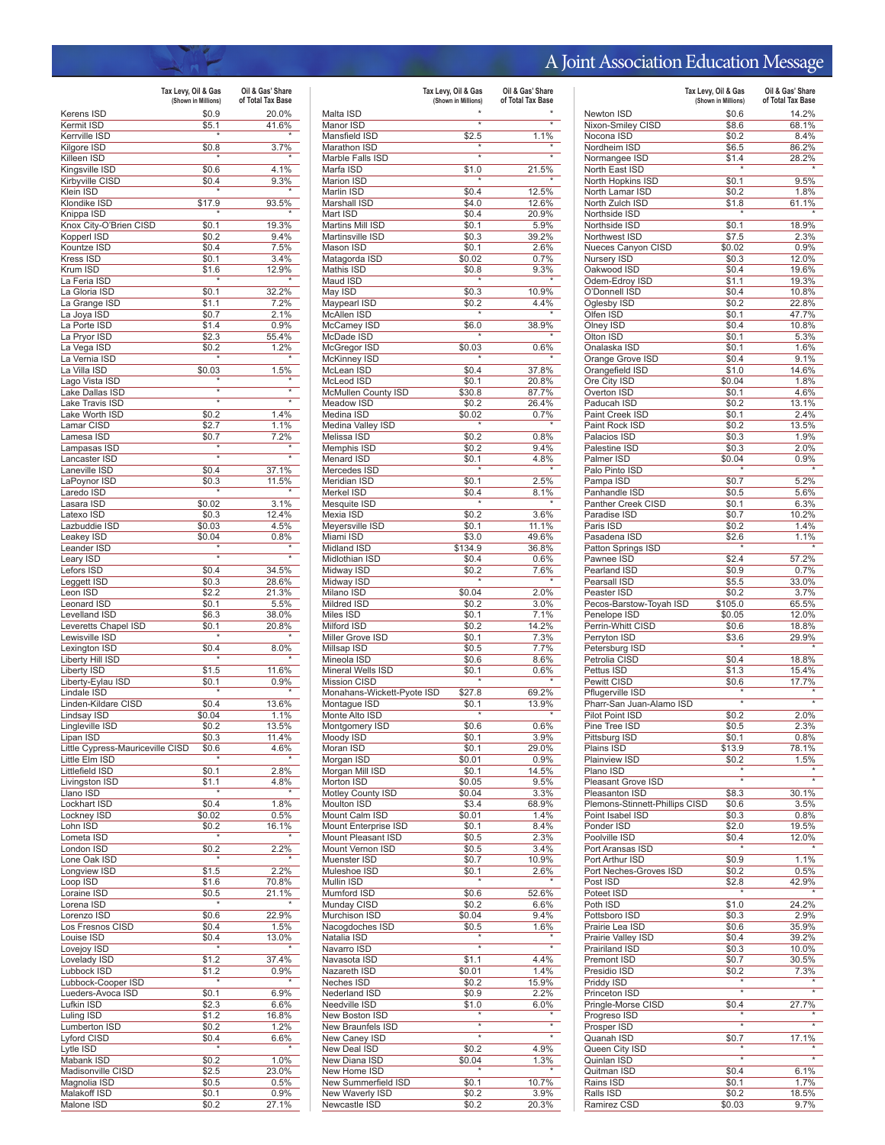## A Joint Association Education Message

|                                               | Tax Levy, Oil & Gas<br>(Shown in Millions) | Oil & Gas' Share<br>of Total Tax Base |
|-----------------------------------------------|--------------------------------------------|---------------------------------------|
| Kerens ISD                                    | \$0.9                                      | 20.0%                                 |
| Kermit ISD                                    | \$5.1                                      | 41.6%                                 |
| Kerrville ISD<br>Kilgore ISD                  |                                            | 3.7%                                  |
| Killeen ISD                                   | \$0.8                                      |                                       |
| Kingsville ISD                                | \$0.6                                      | 4.1%                                  |
| Kirbyville CISD                               | \$0.4                                      | 9.3%                                  |
| Klein ISD<br>Klondike ISD                     |                                            | 93.5%                                 |
| Knippa ISD                                    | \$17.9                                     |                                       |
| Knox City-O'Brien CISD                        | \$0.1                                      | 19.3%                                 |
| Kopperl ISD                                   | \$0.2                                      | 9.4%                                  |
| Kountze ISD<br>Kress ISD                      | \$0.4<br>\$0.1                             | 7.5%<br>3.4%                          |
| Krum ISD                                      | \$1.6                                      | 12.9%                                 |
| La Feria ISD                                  |                                            |                                       |
| La Gloria ISD                                 | \$0.1                                      | 32.2%                                 |
| La Grange ISD<br>La Joya ISD                  | \$1.1<br>\$0.7                             | 7.2%<br>2.1%                          |
| La Porte ISD                                  | \$1.4                                      | 0.9%                                  |
| La Pryor ISD                                  | \$2.3                                      | 55.4%                                 |
| La Vega ISD                                   | \$0.2                                      | 1.2%                                  |
| La Vernia ISD                                 |                                            |                                       |
| La Villa ISD<br>Lago Vista ISD                | \$0.03                                     | 1.5%                                  |
| Lake Dallas ISD                               | ×                                          | ×                                     |
| Lake Travis ISD                               | $\overline{\ast}$                          |                                       |
| Lake Worth ISD                                | \$0.2                                      | 1.4%                                  |
| Lamar CISD<br>Lamesa ISD                      | \$2.7<br>\$0.7                             | 1.1%<br>7.2%                          |
| Lampasas ISD                                  | $\star$                                    | $\star$                               |
| Lancaster ISD                                 | ⋥                                          |                                       |
| Laneville ISD                                 | \$0.4                                      | 37.1%                                 |
| LaPoynor ISD                                  | \$0.3                                      | 11.5%                                 |
| Laredo ISD<br>Lasara ISD                      | \$0.02                                     | 3.1%                                  |
| Latexo ISD                                    | \$0.3                                      | 12.4%                                 |
| Lazbuddie ISD                                 | \$0.03                                     | 4.5%                                  |
| Leakey ISD                                    | \$0.04                                     | 0.8%                                  |
| Leander ISD<br>Leary ISD                      |                                            |                                       |
| Lefors ISD                                    | \$0.4                                      | 34.5%                                 |
| Leggett ISD                                   | \$0.3                                      | 28.6%                                 |
| Leon ISD                                      | \$2.2                                      | 21.3%                                 |
| <b>Leonard ISD</b>                            | \$0.1                                      | 5.5%                                  |
| Levelland ISD<br>Leveretts Chapel ISD         | \$6.3<br>\$0.1                             | 38.0%<br>20.8%                        |
| Lewisville ISD                                |                                            |                                       |
| Lexington ISD                                 | \$0.4                                      | 8.0%                                  |
| Liberty Hill ISD                              |                                            |                                       |
| Liberty ISD<br>Liberty-Eylau ISD              | \$1.5<br>\$0.1                             | 11.6%<br>0.9%                         |
| Lindale ISD                                   |                                            |                                       |
| Linden-Kildare CISD                           | \$0.4                                      | 13.6%                                 |
| Lindsay ISD                                   | \$0.04                                     | 1.1%                                  |
| Lingleville ISD                               | \$0.2                                      | 13.5%<br>11.4%                        |
| Lipan ISD<br>Little Cypress-Mauriceville CISD | \$0.3<br>\$0.6                             | 4.6%                                  |
| Little Elm ISD                                |                                            |                                       |
| Littlefield ISD                               | \$0.1                                      | 2.8%                                  |
| Livingston ISD                                | \$1.1                                      | 4.8%                                  |
| Llano ISD<br>Lockhart ISD                     | \$0.4                                      | 1.8%                                  |
| Lockney ISD                                   | \$0.02                                     | 0.5%                                  |
| Lohn ISD                                      | \$0.2                                      | 16.1%                                 |
| Lometa ISD                                    |                                            |                                       |
| London ISD<br>Lone Oak ISD                    | \$0.2                                      | 2.2%                                  |
| Longview ISD                                  | \$1.5                                      | 2.2%                                  |
| Loop ISD                                      | \$1.6                                      | 70.8%                                 |
| Loraine ISD                                   | \$0.5                                      | 21.1%                                 |
| Lorena ISD                                    |                                            |                                       |
| Lorenzo ISD<br>Los Fresnos CISD               | \$0.6<br>\$0.4                             | 22.9%<br>1.5%                         |
| Louise ISD                                    | \$0.4                                      | 13.0%                                 |
| Lovejoy ISD                                   |                                            |                                       |
| Lovelady ISD                                  | \$1.2                                      | 37.4%                                 |
| Lubbock ISD<br>Lubbock-Cooper ISD             | \$1.2                                      | 0.9%                                  |
| Lueders-Avoca ISD                             | \$0.1                                      | 6.9%                                  |
| Lufkin ISD                                    | \$2.3                                      | 6.6%                                  |
| Luling ISD                                    | \$1.2                                      | 16.8%                                 |
| Lumberton ISD                                 | \$0.2                                      | 1.2%                                  |
| Lyford CISD<br>Lytle ISD                      | \$0.4                                      | 6.6%                                  |
| Mabank ISD                                    | \$0.2                                      | 1.0%                                  |
| Madisonville CISD                             | \$2.5                                      | 23.0%                                 |
| Magnolia ISD                                  | \$0.5                                      | 0.5%                                  |
| Malakoff ISD<br>Malone ISD                    | \$0.1<br>\$0.2                             | 0.9%<br>27.1%                         |
|                                               |                                            |                                       |

|                                            | Tax Levy, Oil & Gas<br>(Shown in Millions) | Oil & Gas' Share<br>of Total Tax Base |
|--------------------------------------------|--------------------------------------------|---------------------------------------|
| Malta ISD                                  |                                            |                                       |
| Manor ISD                                  | $\overline{\ast}$                          | $\overline{\ast}$                     |
| Mansfield ISD                              | \$2.5                                      | 1.1%                                  |
| Marathon ISD                               | $\star$                                    |                                       |
| Marble Falls ISD<br>Marfa ISD              | \$1.0                                      | 21.5%                                 |
| <b>Marion ISD</b>                          |                                            |                                       |
| Marlin ISD                                 | \$0.4                                      | 12.5%                                 |
| Marshall ISD                               | \$4.0                                      | 12.6%                                 |
| Mart ISD                                   | \$0.4                                      | 20.9%                                 |
| Martins Mill ISD                           | \$0.1                                      | 5.9%                                  |
| Martinsville ISD<br>Mason ISD              | \$0.3<br>\$0.1                             | 39.2%<br>2.6%                         |
| Matagorda ISD                              | \$0.02                                     | 0.7%                                  |
| Mathis ISD                                 | \$0.8                                      | 9.3%                                  |
| Maud ISD                                   |                                            |                                       |
| May ISD                                    | \$0.3                                      | 10.9%                                 |
| Maypearl ISD                               | \$0.2                                      | 4.4%                                  |
| McAllen ISD<br>McCamey ISD                 | \$6.0                                      | 38.9%                                 |
| McDade ISD                                 |                                            |                                       |
| McGregor ISD                               | \$0.03                                     | 0.6%                                  |
| McKinney ISD                               |                                            |                                       |
| McLean ISD                                 | \$0.4                                      | 37.8%                                 |
| McLeod ISD                                 | \$0.1                                      | 20.8%                                 |
| McMullen County ISD<br>Meadow ISD          | \$30.8<br>\$0.2                            | 87.7%<br>26.4%                        |
| Medina ISD                                 | \$0.02                                     | 0.7%                                  |
| Medina Valley ISD                          |                                            |                                       |
| Melissa ISD                                | \$0.2                                      | 0.8%                                  |
| Memphis ISD                                | \$0.2                                      | 9.4%                                  |
| <b>Menard ISD</b><br>Mercedes ISD          | \$0.1                                      | 4.8%                                  |
| Meridian ISD                               | \$0.1                                      | 2.5%                                  |
| Merkel ISD                                 | \$0.4                                      | 8.1%                                  |
| Mesquite ISD                               |                                            |                                       |
| Mexia ISD                                  | \$0.2                                      | 3.6%                                  |
| Meyersville ISD                            | \$0.1                                      | 11.1%                                 |
| Miami ISD<br>Midland ISD                   | \$3.0<br>\$134.9                           | 49.6%<br>36.8%                        |
| Midlothian ISD                             | \$0.4                                      | 0.6%                                  |
| Midway ISD                                 | \$0.2                                      | 7.6%                                  |
| Midway ISD                                 |                                            |                                       |
| Milano ISD                                 | \$0.04                                     | 2.0%                                  |
| Mildred ISD                                | \$0.2                                      | 3.0%                                  |
| Miles ISD<br>Milford ISD                   | \$0.1<br>\$0.2                             | 7.1%<br>14.2%                         |
| Miller Grove ISD                           | \$0.1                                      | 7.3%                                  |
| Millsap ISD                                | \$0.5                                      | 7.7%                                  |
| Mineola ISD                                | \$0.6                                      | 8.6%                                  |
| Mineral Wells ISD                          | \$0.1                                      | 0.6%                                  |
| <b>Mission CISD</b>                        |                                            |                                       |
| Monahans-Wickett-Pyote ISD<br>Montague ISD | \$27.8<br>\$0.1                            | 69.2%<br>13.9%                        |
| Monte Alto ISD                             |                                            |                                       |
| Montgomery ISD                             | \$0.6                                      | 0.6%                                  |
| Moody ISD                                  | \$0.1                                      | $3.9\%$                               |
| Moran ISD                                  | \$0.1                                      | 29.0%                                 |
| Morgan ISD                                 | \$0.01                                     | 0.9%                                  |
| Morgan Mill ISD<br>Morton ISD              | \$0.1<br>\$0.05                            | 14.5%<br>9.5%                         |
| Motley County ISD                          | \$0.04                                     | 3.3%                                  |
| Moulton ISD                                | \$3.4                                      | 68.9%                                 |
| Mount Calm ISD                             | \$0.01                                     | 1.4%                                  |
| Mount Enterprise ISD                       | \$0.1                                      | 8.4%                                  |
| Mount Pleasant ISD                         | \$0.5                                      | 2.3%                                  |
| Mount Vernon ISD<br>Muenster ISD           | \$0.5<br>\$0.7                             | 3.4%<br>10.9%                         |
| Muleshoe ISD                               | \$0.1                                      | 2.6%                                  |
| Mullin ISD                                 | $\star$                                    |                                       |
| Mumford ISD                                | \$0.6                                      | 52.6%                                 |
| Munday CISD                                | \$0.2                                      | 6.6%                                  |
| Murchison ISD                              | \$0.04                                     | 9.4%                                  |
| Nacogdoches ISD<br>Natalia ISD             | \$0.5                                      | 1.6%                                  |
| Navarro ISD                                | $\overline{\ast}$                          | $\overline{\ast}$                     |
| Navasota ISD                               | \$1.1                                      | 4.4%                                  |
| Nazareth ISD                               | \$0.01                                     | 1.4%                                  |
| <b>Neches ISD</b>                          | \$0.2                                      | 15.9%                                 |
| Nederland ISD                              | \$0.9                                      | 2.2%                                  |
| Needville ISD<br>New Boston ISD            | \$1.0                                      | 6.0%                                  |
| New Braunfels ISD                          | $\overline{\ast}$                          | $\overline{\ast}$                     |
| New Caney ISD                              | $\star$                                    | ×                                     |
| New Deal ISD                               | \$0.2                                      | 4.9%                                  |
| New Diana ISD                              | \$0.04                                     | 1.3%                                  |
| New Home ISD                               |                                            |                                       |
| New Summerfield ISD                        | \$0.1                                      | 10.7%                                 |
| New Waverly ISD<br>Newcastle ISD           | \$0.2<br>\$0.2                             | 3.9%<br>20.3%                         |
|                                            |                                            |                                       |

|                                                    | Tax Levy, Oil & Gas<br>(Shown in Millions) | Oil & Gas' Share<br>of Total Tax Base |
|----------------------------------------------------|--------------------------------------------|---------------------------------------|
| Newton ISD                                         | \$0.6                                      | 14.2%                                 |
| Nixon-Smiley CISD                                  | \$8.6                                      | 68.1%                                 |
| Nocona ISD                                         | \$0.2                                      | 8.4%                                  |
| Nordheim ISD                                       | \$6.5                                      | 86.2%                                 |
| Normangee ISD<br>North East ISD                    | \$1.4<br>٠                                 | 28.2%                                 |
| North Hopkins ISD                                  | \$0.1                                      | 9.5%                                  |
| North Lamar ISD                                    | \$0.2                                      | 1.8%                                  |
| North Zulch ISD                                    | \$1.8                                      | 61.1%                                 |
| Northside ISD                                      |                                            |                                       |
| Northside ISD                                      | \$0.1                                      | 18.9%                                 |
| Northwest ISD<br>Nueces Canyon CISD                | \$7.5<br>\$0.02                            | 2.3%<br>0.9%                          |
| Nursery ISD                                        | \$0.3                                      | 12.0%                                 |
| Oakwood ISD                                        | \$0.4                                      | 19.6%                                 |
| Odem-Edroy ISD                                     | \$1.1                                      | 19.3%                                 |
| O'Donnell ISD                                      | \$0.4                                      | 10.8%                                 |
| Oglesby ISD<br>Olfen ISD                           | \$0.2<br>\$0.1                             | 22.8%<br>47.7%                        |
| Olney ISD                                          | \$0.4                                      | 10.8%                                 |
| Olton ISD                                          | \$0.1                                      | 5.3%                                  |
| Onalaska ISD                                       | \$0.1                                      | 1.6%                                  |
| Orange Grove ISD                                   | \$0.4                                      | 9.1%                                  |
| Orangefield ISD                                    | \$1.0                                      | 14.6%                                 |
| Ore City ISD<br>Overton ISD                        | \$0.04<br>\$0.1                            | 1.8%<br>4.6%                          |
| Paducah ISD                                        | \$0.2                                      | 13.1%                                 |
| Paint Creek ISD                                    | \$0.1                                      | 2.4%                                  |
| Paint Rock ISD                                     | \$0.2                                      | 13.5%                                 |
| Palacios ISD                                       | \$0.3                                      | 1.9%                                  |
| Palestine ISD                                      | \$0.3                                      | 2.0%                                  |
| Palmer ISD<br>Palo Pinto ISD                       | \$0.04                                     | 0.9%                                  |
| Pampa ISD                                          | \$0.7                                      | 5.2%                                  |
| Panhandle ISD                                      | \$0.5                                      | 5.6%                                  |
| Panther Creek CISD                                 | \$0.1                                      | 6.3%                                  |
| Paradise ISD                                       | \$0.7                                      | 10.2%                                 |
| Paris ISD                                          | \$0.2                                      | 1.4%                                  |
| Pasadena ISD                                       | \$2.6                                      | 1.1%                                  |
| Patton Springs ISD<br>Pawnee ISD                   | \$2.4                                      | 57.2%                                 |
| Pearland ISD                                       | \$0.9                                      | 0.7%                                  |
| Pearsall ISD                                       | \$5.5                                      | 33.0%                                 |
| Peaster ISD                                        | \$0.2                                      | 3.7%                                  |
| Pecos-Barstow-Toyah ISD                            | \$105.0                                    | 65.5%                                 |
| Penelope ISD                                       | \$0.05                                     | 12.0%                                 |
| Perrin-Whitt CISD                                  | \$0.6<br>\$3.6                             | 18.8%<br>29.9%                        |
| Perryton ISD<br>Petersburg ISD                     | $\star$                                    |                                       |
| Petrolia CISD                                      | \$0.4                                      | 18.8%                                 |
| Pettus ISD                                         | \$1.3                                      | 15.4%                                 |
| Pewitt CISD                                        | \$0.6                                      | 17.7%                                 |
| Pflugerville ISD                                   | *                                          |                                       |
| Pharr-San Juan-Alamo ISD                           |                                            |                                       |
| Pilot Point ISD<br>Pine Tree ISD                   | \$0.2<br>\$0.5                             | 2.0%<br>2.3%                          |
| Pittsburg ISD                                      | \$0.1                                      | 0.8%                                  |
| Plains ISD                                         | \$13.9                                     | 78.1%                                 |
| Plainview ISD                                      | \$0.2                                      | 1.5%                                  |
| Plano ISD                                          |                                            |                                       |
| Pleasant Grove ISD                                 | $\overline{\ast}$                          |                                       |
| Pleasanton ISD                                     | \$8.3                                      | 30.1%                                 |
| Plemons-Stinnett-Phillips CISD<br>Point Isabel ISD | \$0.6<br>\$0.3                             | 3.5%<br>0.8%                          |
| Ponder ISD                                         | \$2.0                                      | 19.5%                                 |
| Poolville ISD                                      | \$0.4                                      | 12.0%                                 |
| Port Aransas ISD                                   | $\star$                                    |                                       |
| Port Arthur ISD                                    | \$0.9                                      | 1.1%                                  |
| Port Neches-Groves ISD                             | \$0.2                                      | 0.5%                                  |
| Post ISD                                           | \$2.8<br>$\star$                           | 42.9%                                 |
| Poteet ISD<br>Poth ISD                             | \$1.0                                      | 24.2%                                 |
| Pottsboro ISD                                      | \$0.3                                      | 2.9%                                  |
| Prairie Lea ISD                                    | \$0.6                                      | 35.9%                                 |
| Prairie Valley ISD                                 | \$0.4                                      | 39.2%                                 |
| Prairiland ISD                                     | \$0.3                                      | 10.0%                                 |
| Premont ISD                                        | \$0.7                                      | 30.5%                                 |
| Presidio ISD                                       | \$0.2                                      | 7.3%                                  |
| Priddy ISD                                         | $\overline{\ast}$                          | ∗                                     |
| Princeton ISD<br>Pringle-Morse CISD                | \$0.4                                      | 27.7%                                 |
| Progreso ISD                                       |                                            |                                       |
| Prosper ISD                                        | $\overline{\ast}$                          |                                       |
| Quanah ISD                                         | \$0.7                                      | 17.1%                                 |
| Queen City ISD                                     |                                            |                                       |
| Quinlan ISD                                        | $\overline{\ast}$                          | $\star$                               |
| Quitman ISD                                        | \$0.4                                      | 6.1%                                  |
| Rains ISD                                          | \$0.1                                      | 1.7%                                  |
| Ralls ISD                                          | \$0.2                                      | 18.5%                                 |
| Ramirez CSD                                        | \$0.03                                     | 9.7%                                  |
|                                                    |                                            |                                       |